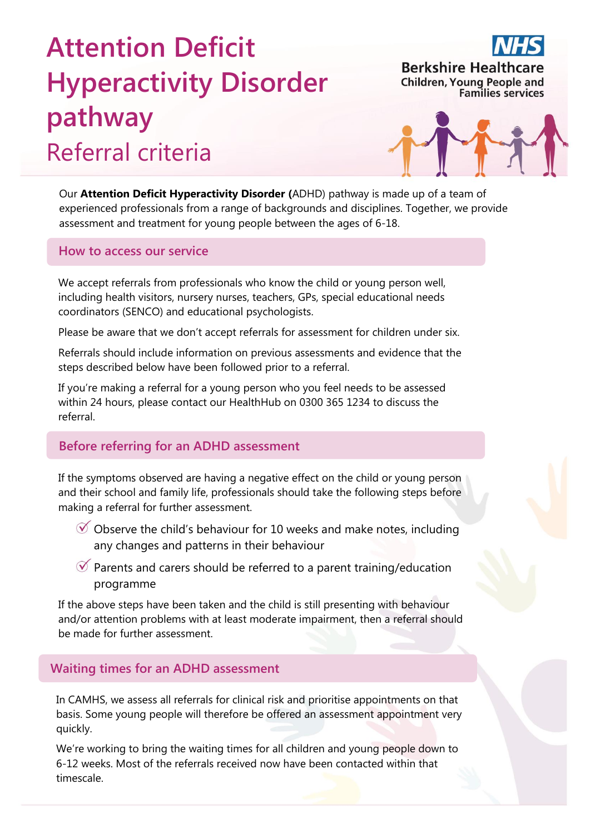# **Attention Deficit Hyperactivity Disorder pathway** Referral criteria



**Berkshire Healthcare Children, Young People and** 

**Families services** 

Our **Attention Deficit Hyperactivity Disorder (**ADHD) pathway is made up of a team of experienced professionals from a range of backgrounds and disciplines. Together, we provide assessment and treatment for young people between the ages of 6-18.

#### **How to access our service**

We accept referrals from professionals who know the child or young person well, including health visitors, nursery nurses, teachers, GPs, special educational needs coordinators (SENCO) and educational psychologists.

Please be aware that we don't accept referrals for assessment for children under six.

Referrals should include information on previous assessments and evidence that the steps described below have been followed prior to a referral.

If you're making a referral for a young person who you feel needs to be assessed within 24 hours, please contact our HealthHub on 0300 365 1234 to discuss the referral.

### **Before referring for an ADHD assessment**

If the symptoms observed are having a negative effect on the child or young person and their school and family life, professionals should take the following steps before making a referral for further assessment.

- $\mathcal O$  Observe the child's behaviour for 10 weeks and make notes, including any changes and patterns in their behaviour
- $\mathcal O$  Parents and carers should be referred to a parent training/education programme

If the above steps have been taken and the child is still presenting with behaviour and/or attention problems with at least moderate impairment, then a referral should be made for further assessment.

### **Waiting times for an ADHD assessment**

In CAMHS, we assess all referrals for clinical risk and prioritise appointments on that basis. Some young people will therefore be offered an assessment appointment very quickly.

We're working to bring the waiting times for all children and young people down to 6-12 weeks. Most of the referrals received now have been contacted within that timescale.